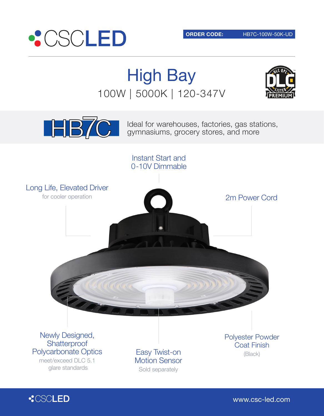

High Bay 100W | 5000K | 120-347V







www.csc-led.com